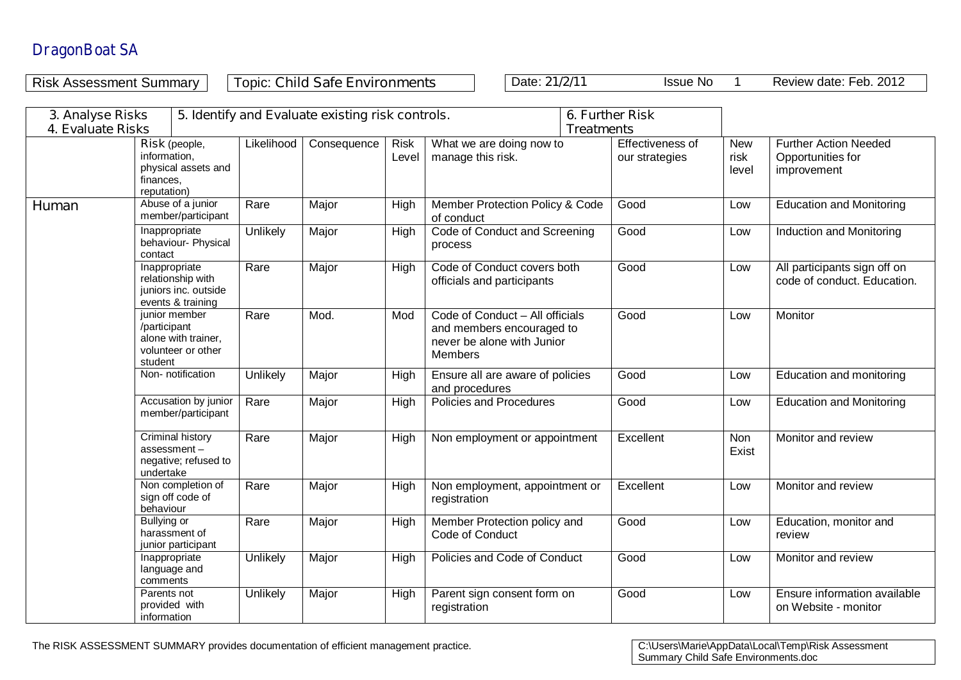Risk Assessment Summary **Topic: Child Safe Environments** Date: **21/2/11** Issue No 1 Review date: Feb. 2012

**3. Analyse Risks 4. Evaluate Risks 5. Identify and Evaluate existing risk controls. 6. Further Risk Treatments Risk** (people, information, physical assets and finances, reputation) Likelihood | Consequence | Risk Level What we are doing now to manage this risk. Effectiveness of our strategies New risk level Further Action Needed Opportunities for improvement **Human** Abuse of a junior member/participant Rare | Major | High | Member Protection Policy & Code of conduct Good **Low** Education and Monitoring Inappropriate behaviour- Physical contact Unlikely Major High Code of Conduct and Screening process Good **Low** Induction and Monitoring Inappropriate relationship with juniors inc. outside events & training Rare Major High Code of Conduct covers both officials and participants Good **Low** All participants sign off on code of conduct. Education. junior member /participant alone with trainer, volunteer or other student<br>Non- notification Rare Mod Mod Code of Conduct – All officials and members encouraged to never be alone with Junior Members Good Low Monitor Unlikely  $\parallel$  Major  $\parallel$  High  $\parallel$  Ensure all are aware of policies and procedures<br>Policies and Procedures Good **Low** Education and monitoring Accusation by junior member/participant Rare Major High Policies and Procedures Good Low Education and Monitoring Criminal history assessment – negative; refused to undertake Rare | Major | High | Non employment or appointment | Excellent | Non Exist Monitor and review Non completion of sign off code of behaviour Rare | Major | High | Non employment, appointment or registration Excellent Low Monitor and review Bullying or harassment of junior participant Rare | Major | High | Member Protection policy and Code of Conduct Good **Low** Education, monitor and review Inappropriate language and comments Unlikely | Major | High | Policies and Code of Conduct | Good | Low | Monitor and review Parents not provided with information Unlikely | Major | High | Parent sign consent form on registration Good Low Ensure information available on Website - monitor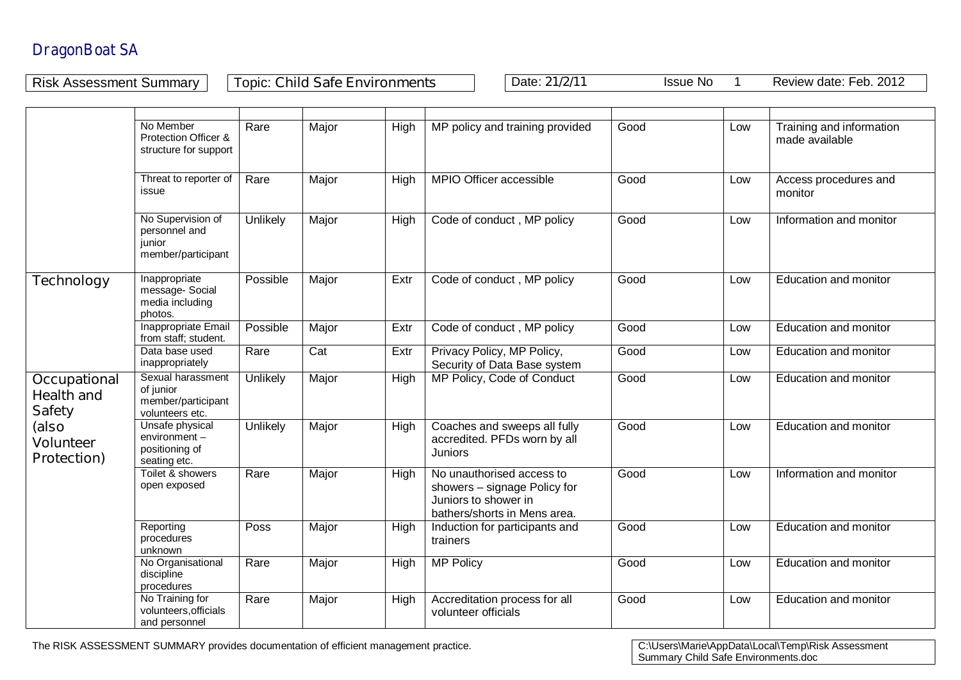Risk Assessment Summary | Topic: Child Safe Environments | Date: 21/2/11 Issue No 1 Review date: Feb. 2012

|                                                           | No Member<br>Protection Officer &<br>structure for support              | Rare     | Major            | High | MP policy and training provided                                                                                   | Good | Low | Training and information<br>made available |
|-----------------------------------------------------------|-------------------------------------------------------------------------|----------|------------------|------|-------------------------------------------------------------------------------------------------------------------|------|-----|--------------------------------------------|
|                                                           | Threat to reporter of<br>issue                                          | Rare     | Major            | High | MPIO Officer accessible                                                                                           | Good | Low | Access procedures and<br>monitor           |
|                                                           | No Supervision of<br>personnel and<br>junior<br>member/participant      | Unlikely | Major            | High | Code of conduct, MP policy                                                                                        | Good | Low | Information and monitor                    |
| <b>Technology</b>                                         | Inappropriate<br>message-Social<br>media including<br>photos.           | Possible | Major            | Extr | Code of conduct, MP policy                                                                                        | Good | Low | <b>Education and monitor</b>               |
|                                                           | Inappropriate Email<br>from staff; student.                             | Possible | Major            | Extr | Code of conduct, MP policy                                                                                        | Good | Low | <b>Education and monitor</b>               |
|                                                           | Data base used<br>inappropriately                                       | Rare     | $\overline{Cat}$ | Extr | Privacy Policy, MP Policy,<br>Security of Data Base system                                                        | Good | Low | Education and monitor                      |
| <b>Occupational</b><br><b>Health and</b><br><b>Safety</b> | Sexual harassment<br>of junior<br>member/participant<br>volunteers etc. | Unlikely | Major            | High | MP Policy, Code of Conduct                                                                                        | Good | Low | Education and monitor                      |
| (also<br><b>Volunteer</b><br><b>Protection)</b>           | Unsafe physical<br>environment-<br>positioning of<br>seating etc.       | Unlikely | Major            | High | Coaches and sweeps all fully<br>accredited. PFDs worn by all<br><b>Juniors</b>                                    | Good | Low | Education and monitor                      |
|                                                           | Toilet & showers<br>open exposed                                        | Rare     | Major            | High | No unauthorised access to<br>showers - signage Policy for<br>Juniors to shower in<br>bathers/shorts in Mens area. | Good | Low | Information and monitor                    |
|                                                           | Reporting<br>procedures<br>unknown                                      | Poss     | Major            | High | Induction for participants and<br>trainers                                                                        | Good | Low | <b>Education and monitor</b>               |
|                                                           | No Organisational<br>discipline<br>procedures                           | Rare     | Major            | High | <b>MP Policy</b>                                                                                                  | Good | Low | <b>Education and monitor</b>               |
|                                                           | No Training for<br>volunteers, officials<br>and personnel               | Rare     | Major            | High | Accreditation process for all<br>volunteer officials                                                              | Good | Low | Education and monitor                      |

The RISK ASSESSMENT SUMMARY provides documentation of efficient management practice.

C:\Users\Marie\AppData\Local\Temp\Risk Assessment<br>Summary Child Safe Environments.doc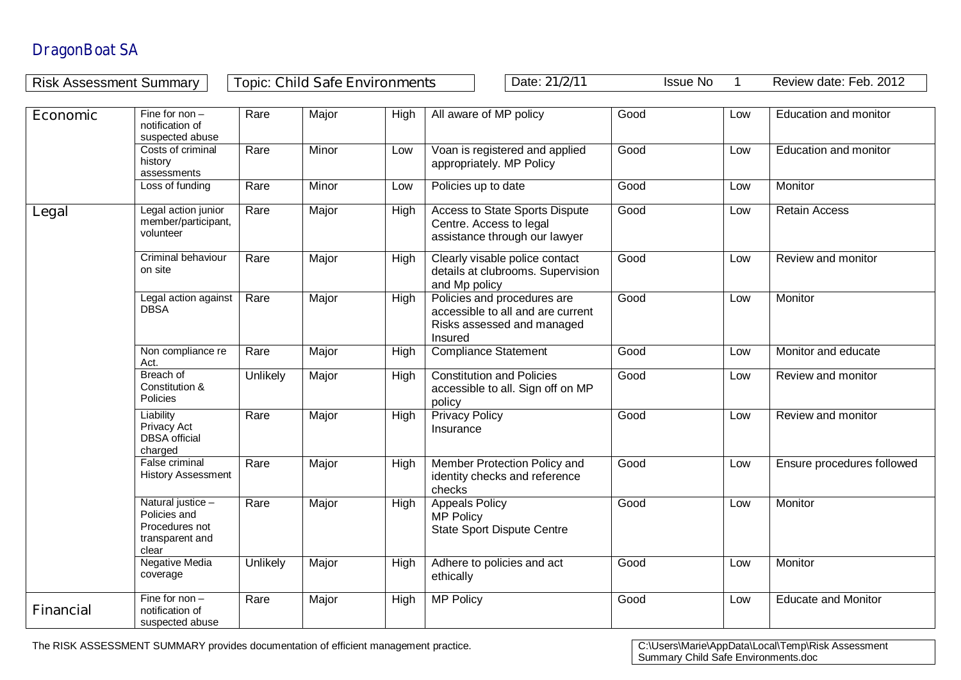| <b>Topic: Child Safe Environments</b><br>Date: 21/2/11<br>Review date: Feb. 2012<br><b>Issue No</b><br><b>Risk Assessment Summary</b><br>$\mathbf 1$ |                                                                                 |          |       |      |                                                                                                           |      |     |                              |
|------------------------------------------------------------------------------------------------------------------------------------------------------|---------------------------------------------------------------------------------|----------|-------|------|-----------------------------------------------------------------------------------------------------------|------|-----|------------------------------|
|                                                                                                                                                      |                                                                                 |          |       |      |                                                                                                           |      |     |                              |
| <b>Economic</b>                                                                                                                                      | Fine for $non-$<br>notification of<br>suspected abuse                           | Rare     | Major | High | All aware of MP policy                                                                                    | Good | Low | Education and monitor        |
|                                                                                                                                                      | Costs of criminal<br>history<br>assessments                                     | Rare     | Minor | Low  | Voan is registered and applied<br>appropriately. MP Policy                                                | Good | Low | <b>Education and monitor</b> |
|                                                                                                                                                      | Loss of funding                                                                 | Rare     | Minor | Low  | Policies up to date                                                                                       | Good | Low | Monitor                      |
| Legal                                                                                                                                                | Legal action junior<br>member/participant,<br>volunteer                         | Rare     | Major | High | Access to State Sports Dispute<br>Centre. Access to legal<br>assistance through our lawyer                | Good | Low | <b>Retain Access</b>         |
|                                                                                                                                                      | Criminal behaviour<br>on site                                                   | Rare     | Major | High | Clearly visable police contact<br>details at clubrooms. Supervision<br>and Mp policy                      | Good | Low | Review and monitor           |
|                                                                                                                                                      | Legal action against<br><b>DBSA</b>                                             | Rare     | Major | High | Policies and procedures are<br>accessible to all and are current<br>Risks assessed and managed<br>Insured | Good | Low | Monitor                      |
|                                                                                                                                                      | Non compliance re<br>Act.                                                       | Rare     | Major | High | <b>Compliance Statement</b>                                                                               | Good | Low | Monitor and educate          |
|                                                                                                                                                      | Breach of<br>Constitution &<br>Policies                                         | Unlikely | Major | High | <b>Constitution and Policies</b><br>accessible to all. Sign off on MP<br>policy                           | Good | Low | Review and monitor           |
|                                                                                                                                                      | Liability<br>Privacy Act<br><b>DBSA</b> official<br>charged                     | Rare     | Major | High | <b>Privacy Policy</b><br>Insurance                                                                        | Good | Low | Review and monitor           |
|                                                                                                                                                      | False criminal<br><b>History Assessment</b>                                     | Rare     | Major | High | Member Protection Policy and<br>identity checks and reference<br>checks                                   | Good | Low | Ensure procedures followed   |
|                                                                                                                                                      | Natural justice -<br>Policies and<br>Procedures not<br>transparent and<br>clear | Rare     | Major | High | <b>Appeals Policy</b><br><b>MP Policy</b><br><b>State Sport Dispute Centre</b>                            | Good | Low | Monitor                      |
|                                                                                                                                                      | Negative Media<br>coverage                                                      | Unlikely | Major | High | Adhere to policies and act<br>ethically                                                                   | Good | Low | Monitor                      |
| <b>Financial</b>                                                                                                                                     | Fine for non $-$<br>notification of                                             | Rare     | Major | High | <b>MP Policy</b>                                                                                          | Good | Low | <b>Educate and Monitor</b>   |

The RISK ASSESSMENT SUMMARY provides documentation of efficient management practice.

suspected abuse

C:\Users\Marie\AppData\Local\Temp\Risk Assessment<br>Summary Child Safe Environments.doc